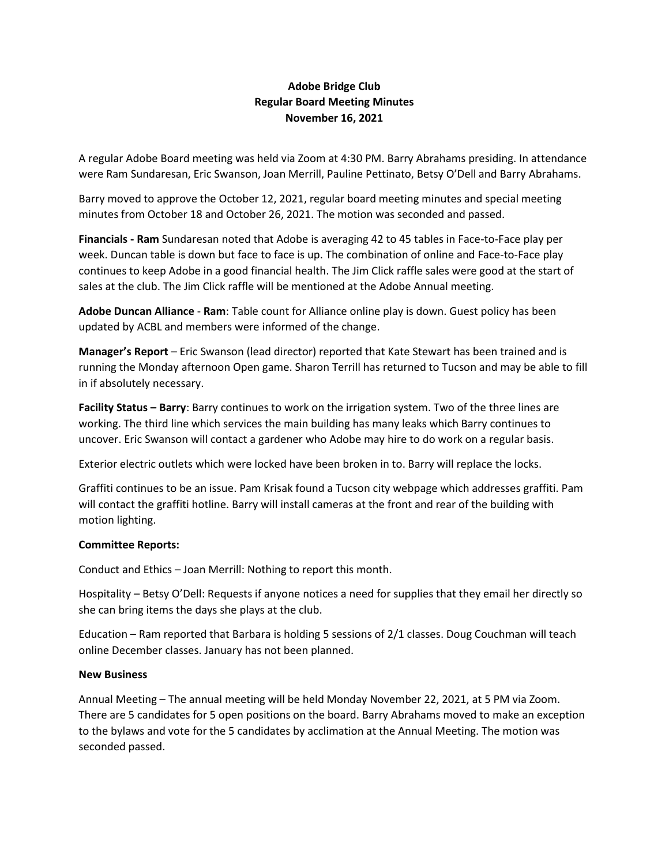## **Adobe Bridge Club Regular Board Meeting Minutes November 16, 2021**

A regular Adobe Board meeting was held via Zoom at 4:30 PM. Barry Abrahams presiding. In attendance were Ram Sundaresan, Eric Swanson, Joan Merrill, Pauline Pettinato, Betsy O'Dell and Barry Abrahams.

Barry moved to approve the October 12, 2021, regular board meeting minutes and special meeting minutes from October 18 and October 26, 2021. The motion was seconded and passed.

**Financials - Ram** Sundaresan noted that Adobe is averaging 42 to 45 tables in Face-to-Face play per week. Duncan table is down but face to face is up. The combination of online and Face-to-Face play continues to keep Adobe in a good financial health. The Jim Click raffle sales were good at the start of sales at the club. The Jim Click raffle will be mentioned at the Adobe Annual meeting.

**Adobe Duncan Alliance** - **Ram**: Table count for Alliance online play is down. Guest policy has been updated by ACBL and members were informed of the change.

**Manager's Report** – Eric Swanson (lead director) reported that Kate Stewart has been trained and is running the Monday afternoon Open game. Sharon Terrill has returned to Tucson and may be able to fill in if absolutely necessary.

**Facility Status – Barry**: Barry continues to work on the irrigation system. Two of the three lines are working. The third line which services the main building has many leaks which Barry continues to uncover. Eric Swanson will contact a gardener who Adobe may hire to do work on a regular basis.

Exterior electric outlets which were locked have been broken in to. Barry will replace the locks.

Graffiti continues to be an issue. Pam Krisak found a Tucson city webpage which addresses graffiti. Pam will contact the graffiti hotline. Barry will install cameras at the front and rear of the building with motion lighting.

## **Committee Reports:**

Conduct and Ethics – Joan Merrill: Nothing to report this month.

Hospitality – Betsy O'Dell: Requests if anyone notices a need for supplies that they email her directly so she can bring items the days she plays at the club.

Education – Ram reported that Barbara is holding 5 sessions of 2/1 classes. Doug Couchman will teach online December classes. January has not been planned.

## **New Business**

Annual Meeting – The annual meeting will be held Monday November 22, 2021, at 5 PM via Zoom. There are 5 candidates for 5 open positions on the board. Barry Abrahams moved to make an exception to the bylaws and vote for the 5 candidates by acclimation at the Annual Meeting. The motion was seconded passed.